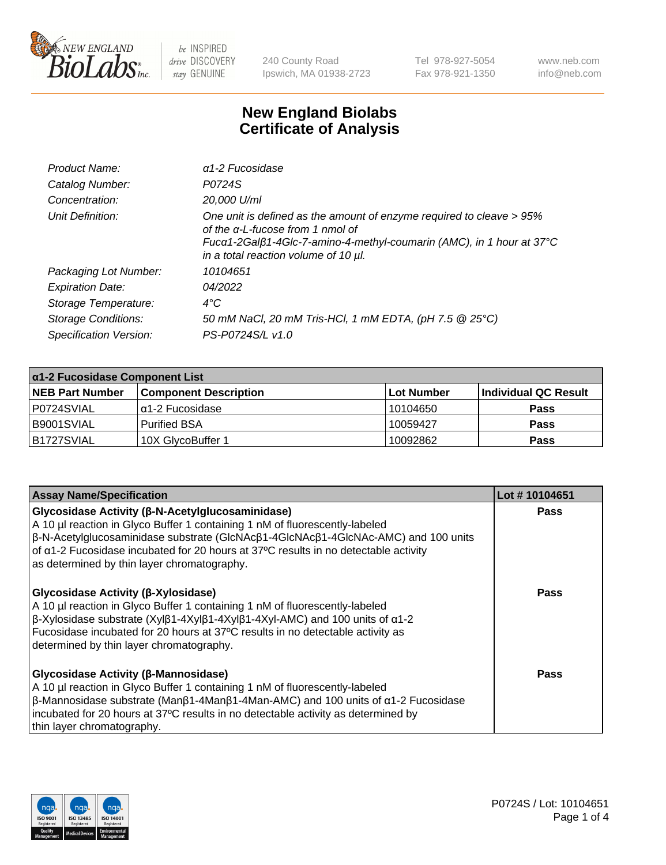

240 County Road Ipswich, MA 01938-2723 Tel 978-927-5054 Fax 978-921-1350 www.neb.com info@neb.com

## **New England Biolabs Certificate of Analysis**

| Product Name:              | $\alpha$ 1-2 Fucosidase                                                                                                                                                                                                               |
|----------------------------|---------------------------------------------------------------------------------------------------------------------------------------------------------------------------------------------------------------------------------------|
| Catalog Number:            | P0724S                                                                                                                                                                                                                                |
| Concentration:             | 20,000 U/ml                                                                                                                                                                                                                           |
| Unit Definition:           | One unit is defined as the amount of enzyme required to cleave > 95%<br>of the $\alpha$ -L-fucose from 1 nmol of<br>Fucα1-2Galβ1-4Glc-7-amino-4-methyl-coumarin (AMC), in 1 hour at 37°C<br>in a total reaction volume of 10 $\mu$ l. |
| Packaging Lot Number:      | 10104651                                                                                                                                                                                                                              |
| <b>Expiration Date:</b>    | 04/2022                                                                                                                                                                                                                               |
| Storage Temperature:       | $4^{\circ}$ C                                                                                                                                                                                                                         |
| <b>Storage Conditions:</b> | 50 mM NaCl, 20 mM Tris-HCl, 1 mM EDTA, (pH 7.5 @ 25°C)                                                                                                                                                                                |
| Specification Version:     | PS-P0724S/L v1.0                                                                                                                                                                                                                      |

| $\alpha$ 1-2 Fucosidase Component List |                              |            |                      |  |
|----------------------------------------|------------------------------|------------|----------------------|--|
| <b>NEB Part Number</b>                 | <b>Component Description</b> | Lot Number | Individual QC Result |  |
| P0724SVIAL                             | $\alpha$ 1-2 Fucosidase      | 10104650   | <b>Pass</b>          |  |
| B9001SVIAL                             | <b>Purified BSA</b>          | 10059427   | <b>Pass</b>          |  |
| B1727SVIAL                             | 10X GlycoBuffer 1            | 10092862   | <b>Pass</b>          |  |

| <b>Assay Name/Specification</b>                                                                                                                                                                                                                                                                                                                                                           | Lot #10104651 |
|-------------------------------------------------------------------------------------------------------------------------------------------------------------------------------------------------------------------------------------------------------------------------------------------------------------------------------------------------------------------------------------------|---------------|
| <b>Glycosidase Activity (β-N-Acetylglucosaminidase)</b><br>A 10 µl reaction in Glyco Buffer 1 containing 1 nM of fluorescently-labeled<br>$\beta$ -N-Acetylglucosaminidase substrate (GlcNAc $\beta$ 1-4GlcNAc $\beta$ 1-4GlcNAc-AMC) and 100 units<br>of a1-2 Fucosidase incubated for 20 hours at 37°C results in no detectable activity<br>as determined by thin layer chromatography. | <b>Pass</b>   |
| Glycosidase Activity (β-Xylosidase)<br>A 10 µl reaction in Glyco Buffer 1 containing 1 nM of fluorescently-labeled<br>$\beta$ -Xylosidase substrate (Xyl $\beta$ 1-4Xyl $\beta$ 1-4Xyl $\beta$ 1-4Xyl-AMC) and 100 units of $\alpha$ 1-2<br>Fucosidase incubated for 20 hours at 37°C results in no detectable activity as<br>determined by thin layer chromatography.                    | <b>Pass</b>   |
| <b>Glycosidase Activity (β-Mannosidase)</b><br>A 10 µl reaction in Glyco Buffer 1 containing 1 nM of fluorescently-labeled<br>$\beta$ -Mannosidase substrate (Man $\beta$ 1-4Man $\beta$ 1-4Man-AMC) and 100 units of $\alpha$ 1-2 Fucosidase<br>incubated for 20 hours at 37°C results in no detectable activity as determined by<br>thin layer chromatography.                          | Pass          |

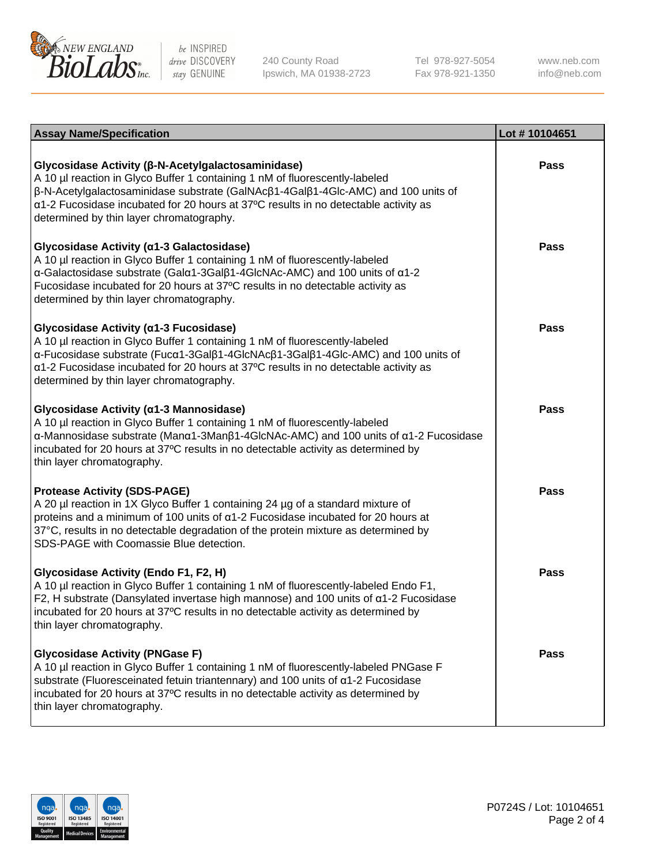

240 County Road Ipswich, MA 01938-2723 Tel 978-927-5054 Fax 978-921-1350

www.neb.com info@neb.com

| <b>Assay Name/Specification</b>                                                                                                                                                                                                                                                                                                                                       | Lot #10104651 |
|-----------------------------------------------------------------------------------------------------------------------------------------------------------------------------------------------------------------------------------------------------------------------------------------------------------------------------------------------------------------------|---------------|
| Glycosidase Activity (β-N-Acetylgalactosaminidase)<br>A 10 µl reaction in Glyco Buffer 1 containing 1 nM of fluorescently-labeled<br>β-N-Acetylgalactosaminidase substrate (GalNAcβ1-4Galβ1-4Glc-AMC) and 100 units of<br>a1-2 Fucosidase incubated for 20 hours at 37°C results in no detectable activity as<br>determined by thin layer chromatography.             | Pass          |
| Glycosidase Activity (α1-3 Galactosidase)<br>A 10 µl reaction in Glyco Buffer 1 containing 1 nM of fluorescently-labeled<br>$\alpha$ -Galactosidase substrate (Gal $\alpha$ 1-3Gal $\beta$ 1-4GlcNAc-AMC) and 100 units of $\alpha$ 1-2<br>Fucosidase incubated for 20 hours at 37°C results in no detectable activity as<br>determined by thin layer chromatography. | <b>Pass</b>   |
| Glycosidase Activity (α1-3 Fucosidase)<br>A 10 µl reaction in Glyco Buffer 1 containing 1 nM of fluorescently-labeled<br>α-Fucosidase substrate (Fucα1-3Galβ1-4GlcNAcβ1-3Galβ1-4Glc-AMC) and 100 units of<br>a1-2 Fucosidase incubated for 20 hours at 37°C results in no detectable activity as<br>determined by thin layer chromatography.                          | <b>Pass</b>   |
| Glycosidase Activity (α1-3 Mannosidase)<br>A 10 µl reaction in Glyco Buffer 1 containing 1 nM of fluorescently-labeled<br>α-Mannosidase substrate (Manα1-3Manβ1-4GlcNAc-AMC) and 100 units of α1-2 Fucosidase<br>incubated for 20 hours at 37°C results in no detectable activity as determined by<br>thin layer chromatography.                                      | <b>Pass</b>   |
| <b>Protease Activity (SDS-PAGE)</b><br>A 20 µl reaction in 1X Glyco Buffer 1 containing 24 µg of a standard mixture of<br>proteins and a minimum of 100 units of $\alpha$ 1-2 Fucosidase incubated for 20 hours at<br>37°C, results in no detectable degradation of the protein mixture as determined by<br>SDS-PAGE with Coomassie Blue detection.                   | <b>Pass</b>   |
| <b>Glycosidase Activity (Endo F1, F2, H)</b><br>A 10 µl reaction in Glyco Buffer 1 containing 1 nM of fluorescently-labeled Endo F1,<br>F2, H substrate (Dansylated invertase high mannose) and 100 units of a1-2 Fucosidase<br>incubated for 20 hours at 37°C results in no detectable activity as determined by<br>thin layer chromatography.                       | <b>Pass</b>   |
| <b>Glycosidase Activity (PNGase F)</b><br>A 10 µl reaction in Glyco Buffer 1 containing 1 nM of fluorescently-labeled PNGase F<br>substrate (Fluoresceinated fetuin triantennary) and 100 units of $\alpha$ 1-2 Fucosidase<br>incubated for 20 hours at 37°C results in no detectable activity as determined by<br>thin layer chromatography.                         | <b>Pass</b>   |

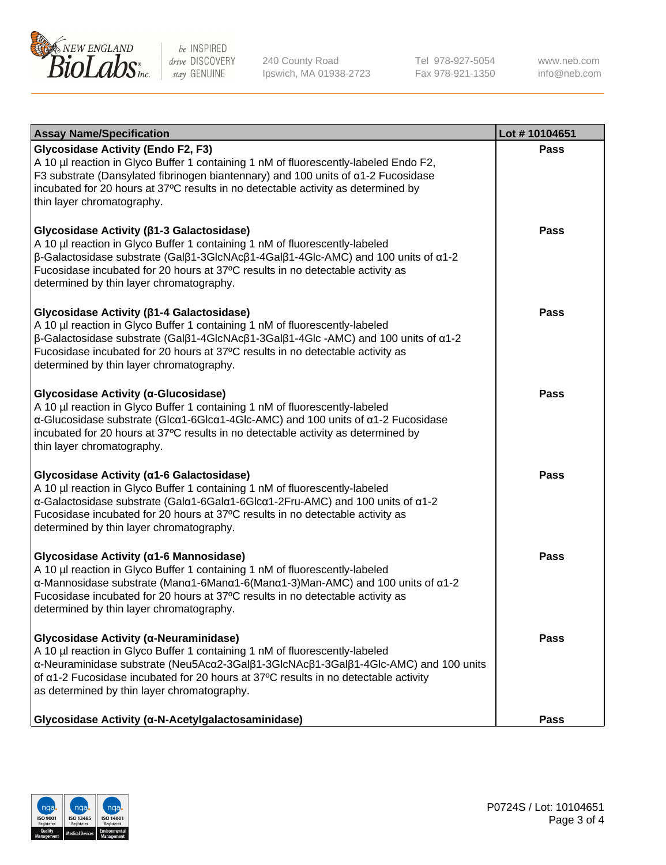

240 County Road Ipswich, MA 01938-2723 Tel 978-927-5054 Fax 978-921-1350

www.neb.com info@neb.com

| <b>Assay Name/Specification</b>                                                                                                                                                                                                                                                                                                                                                     | Lot #10104651 |
|-------------------------------------------------------------------------------------------------------------------------------------------------------------------------------------------------------------------------------------------------------------------------------------------------------------------------------------------------------------------------------------|---------------|
| <b>Glycosidase Activity (Endo F2, F3)</b><br>A 10 µl reaction in Glyco Buffer 1 containing 1 nM of fluorescently-labeled Endo F2,<br>F3 substrate (Dansylated fibrinogen biantennary) and 100 units of a1-2 Fucosidase<br>incubated for 20 hours at 37°C results in no detectable activity as determined by<br>thin layer chromatography.                                           | <b>Pass</b>   |
| Glycosidase Activity (β1-3 Galactosidase)<br>A 10 µl reaction in Glyco Buffer 1 containing 1 nM of fluorescently-labeled<br>$\beta$ -Galactosidase substrate (Gal $\beta$ 1-3GlcNAc $\beta$ 1-4Gal $\beta$ 1-4Glc-AMC) and 100 units of $\alpha$ 1-2<br>Fucosidase incubated for 20 hours at 37°C results in no detectable activity as<br>determined by thin layer chromatography.  | <b>Pass</b>   |
| Glycosidase Activity (β1-4 Galactosidase)<br>A 10 µl reaction in Glyco Buffer 1 containing 1 nM of fluorescently-labeled<br>$\beta$ -Galactosidase substrate (Gal $\beta$ 1-4GlcNAc $\beta$ 1-3Gal $\beta$ 1-4Glc -AMC) and 100 units of $\alpha$ 1-2<br>Fucosidase incubated for 20 hours at 37°C results in no detectable activity as<br>determined by thin layer chromatography. | <b>Pass</b>   |
| Glycosidase Activity (α-Glucosidase)<br>A 10 µl reaction in Glyco Buffer 1 containing 1 nM of fluorescently-labeled<br>α-Glucosidase substrate (Glcα1-6Glcα1-4Glc-AMC) and 100 units of α1-2 Fucosidase<br>incubated for 20 hours at 37°C results in no detectable activity as determined by<br>thin layer chromatography.                                                          | Pass          |
| Glycosidase Activity (a1-6 Galactosidase)<br>A 10 µl reaction in Glyco Buffer 1 containing 1 nM of fluorescently-labeled<br>α-Galactosidase substrate (Galα1-6Galα1-6Glcα1-2Fru-AMC) and 100 units of α1-2<br>Fucosidase incubated for 20 hours at 37°C results in no detectable activity as<br>determined by thin layer chromatography.                                            | <b>Pass</b>   |
| Glycosidase Activity (α1-6 Mannosidase)<br>A 10 µl reaction in Glyco Buffer 1 containing 1 nM of fluorescently-labeled<br>α-Mannosidase substrate (Μanα1-6Μanα1-6(Μanα1-3)Man-AMC) and 100 units of α1-2<br>Fucosidase incubated for 20 hours at 37°C results in no detectable activity as<br>determined by thin layer chromatography.                                              | <b>Pass</b>   |
| Glycosidase Activity (α-Neuraminidase)<br>A 10 µl reaction in Glyco Buffer 1 containing 1 nM of fluorescently-labeled<br>α-Neuraminidase substrate (Neu5Acα2-3Galβ1-3GlcNAcβ1-3Galβ1-4Glc-AMC) and 100 units<br>of $\alpha$ 1-2 Fucosidase incubated for 20 hours at 37°C results in no detectable activity<br>as determined by thin layer chromatography.                          | Pass          |
| Glycosidase Activity (α-N-Acetylgalactosaminidase)                                                                                                                                                                                                                                                                                                                                  | Pass          |